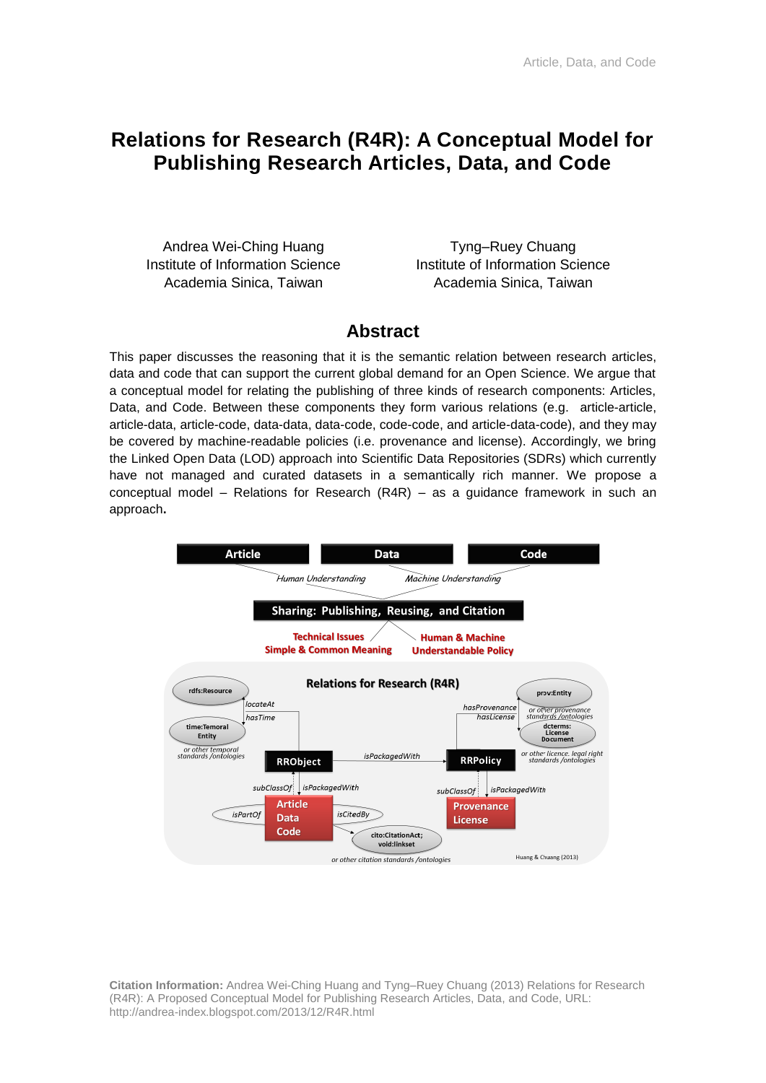## **Relations for Research (R4R): A Conceptual Model for Publishing Research Articles, Data, and Code**

Andrea Wei-Ching Huang Institute of Information Science Academia Sinica, Taiwan

Tyng–Ruey Chuang Institute of Information Science Academia Sinica, Taiwan

### **Abstract**

This paper discusses the reasoning that it is the semantic relation between research articles, data and code that can support the current global demand for an Open Science. We argue that a conceptual model for relating the publishing of three kinds of research components: Articles, Data, and Code. Between these components they form various relations (e.g. article-article, article-data, article-code, data-data, data-code, code-code, and article-data-code), and they may be covered by machine-readable policies (i.e. provenance and license). Accordingly, we bring the Linked Open Data (LOD) approach into Scientific Data Repositories (SDRs) which currently have not managed and curated datasets in a semantically rich manner. We propose a conceptual model – Relations for Research (R4R) – as a guidance framework in such an approach**.**



**Citation Information:** Andrea Wei-Ching Huang and Tyng–Ruey Chuang (2013) Relations for Research (R4R): A Proposed Conceptual Model for Publishing Research Articles, Data, and Code, URL: <http://andrea-index.blogspot.com/2013/12/R4R.html>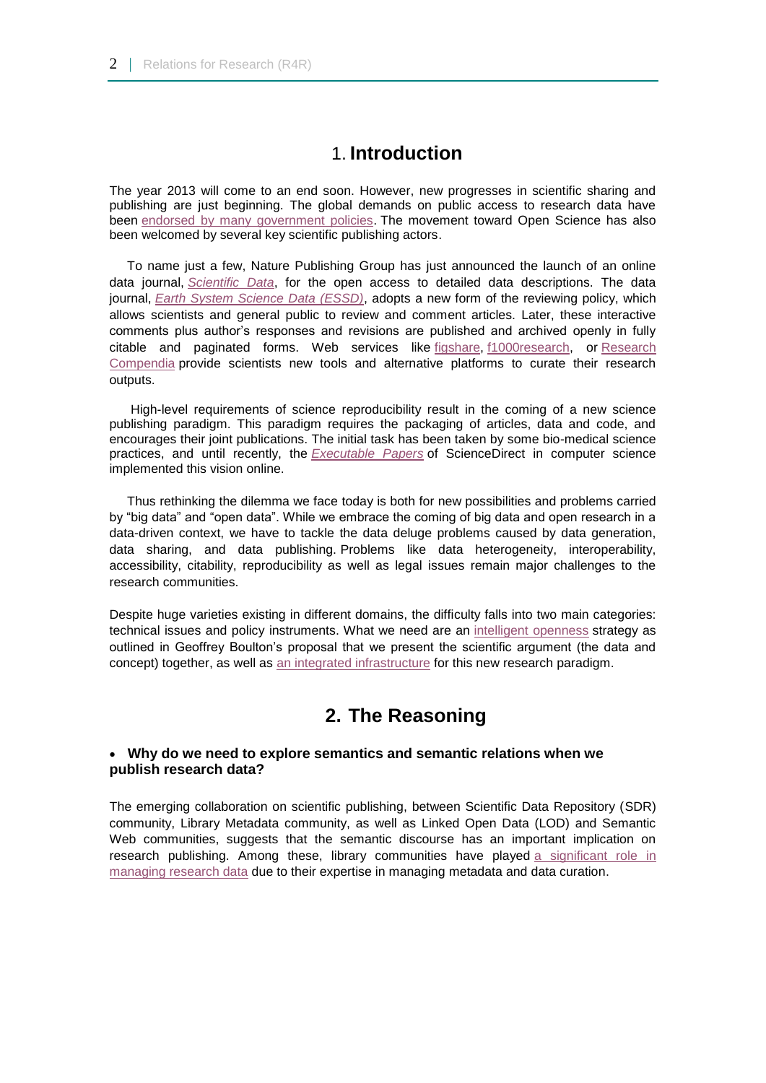### 1. **Introduction**

The year 2013 will come to an end soon. However, new progresses in scientific sharing and publishing are just beginning. The global demands on public access to research data have been [endorsed by many government policies.](http://creativecommons.org/weblog/entry/40129) The movement toward Open Science has also been welcomed by several key scientific publishing actors.

 To name just a few, Nature Publishing Group has just announced the launch of an online data journal, *[Scientific Data](http://www.nature.com/scientificdata/)*, for the open access to detailed data descriptions. The data journal, *[Earth System Science Data \(ESSD\)](http://www.earth-system-science-data.net/review/review_process_and_interactive_public_discussion.html)*, adopts a new form of the reviewing policy, which allows scientists and general public to review and comment articles. Later, these interactive comments plus author's responses and revisions are published and archived openly in fully citable and paginated forms. Web services like [figshare,](http://figshare.com/) [f1000research,](http://f1000research.com/) or [Research](http://researchcompendia.org/)  [Compendia](http://researchcompendia.org/) provide scientists new tools and alternative platforms to curate their research outputs.

 High-level requirements of science reproducibility result in the coming of a new science publishing paradigm. This paradigm requires the packaging of articles, data and code, and encourages their joint publications. The initial task has been taken by some bio-medical science practices, and until recently, the *[Executable Papers](http://www.elsevier.com/connect/executable-papers-in-computer-science-go-live-on-sciencedirect)* of ScienceDirect in computer science implemented this vision online.

 Thus rethinking the dilemma we face today is both for new possibilities and problems carried by "big data" and "open data". While we embrace the coming of big data and open research in a data-driven context, we have to tackle the data deluge problems caused by data generation, data sharing, and data publishing. Problems like data heterogeneity, interoperability, accessibility, citability, reproducibility as well as legal issues remain major challenges to the research communities.

Despite huge varieties existing in different domains, the difficulty falls into two main categories: technical issues and policy instruments. What we need are an [intelligent openness](http://codata2012.tw/news/we-will-never-get-there-but-we-have-to-keep-moving) strategy as outlined in Geoffrey Boulton's proposal that we present the scientific argument (the data and concept) together, as well as [an integrated infrastructure](http://europepmc.org/articles/PMC3383002/reload=0;jsessionid=gm12UJqjGuJlyqU2tenS.4) for this new research paradigm.

## **2. The Reasoning**

#### **Why do we need to explore semantics and semantic relations when we publish research data?**

The emerging collaboration on scientific publishing, between Scientific Data Repository (SDR) community, Library Metadata community, as well as Linked Open Data (LOD) and Semantic Web communities, suggests that the semantic discourse has an important implication on research publishing. Among these, library communities have played [a significant role in](http://eprints.whiterose.ac.uk/76107/7/WRRO_76107.pdf)  [managing research data](http://eprints.whiterose.ac.uk/76107/7/WRRO_76107.pdf) due to their expertise in managing metadata and data curation.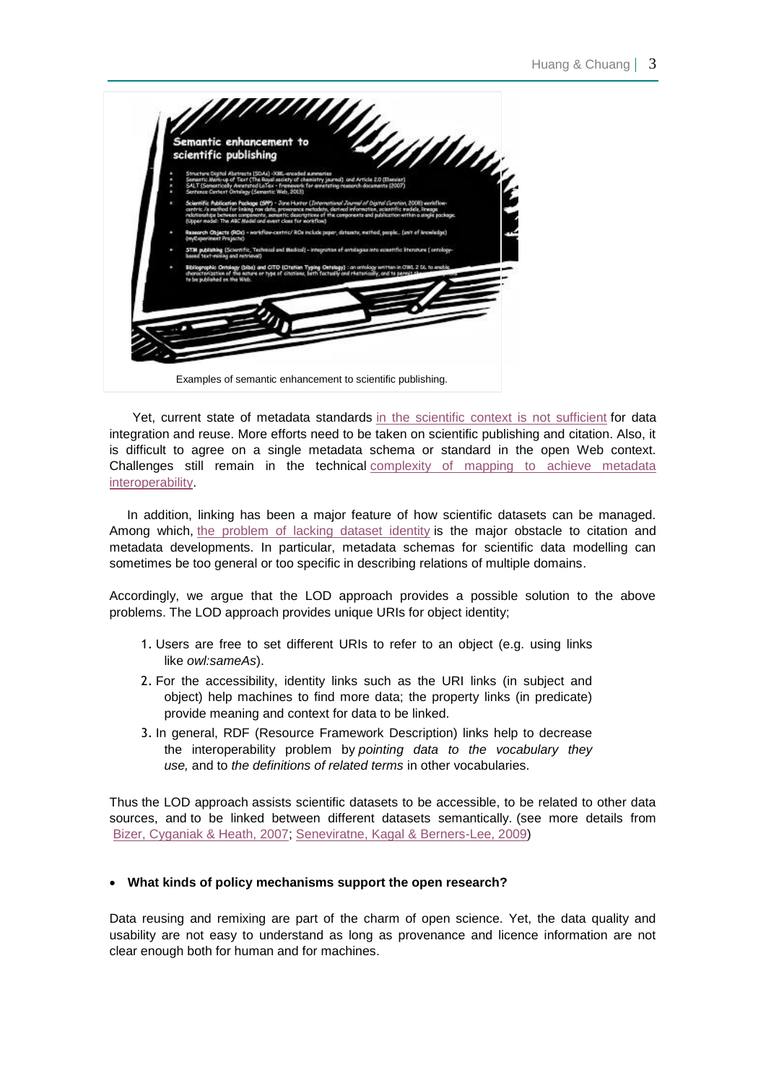

Yet, current state of metadata standards [in the scientific context is not sufficient](http://www.ijdc.net/index.php/ijdc/article/viewFile/8.1.157/304) for data integration and reuse. More efforts need to be taken on scientific publishing and citation. Also, it is difficult to agree on a single metadata schema or standard in the open Web context. Challenges still remain in the technical [complexity of mapping to achieve metadata](http://eprints.cs.univie.ac.at/79/1/haslhofer08_acmSur_final.pdf)  [interoperability.](http://eprints.cs.univie.ac.at/79/1/haslhofer08_acmSur_final.pdf)

 In addition, linking has been a major feature of how scientific datasets can be managed. Among which, [the problem of lacking dataset identity](http://www.ijdc.net/index.php/ijdc/article/viewFile/174/242) is the major obstacle to citation and metadata developments. In particular, metadata schemas for scientific data modelling can sometimes be too general or too specific in describing relations of multiple domains.

Accordingly, we argue that the LOD approach provides a possible solution to the above problems. The LOD approach provides unique URIs for object identity;

- 1. Users are free to set different URIs to refer to an object (e.g. using links like *owl:sameAs*).
- 2. For the accessibility, identity links such as the URI links (in subject and object) help machines to find more data; the property links (in predicate) provide meaning and context for data to be linked.
- 3. In general, RDF (Resource Framework Description) links help to decrease the interoperability problem by *pointing data to the vocabulary they use,* and to *the definitions of related terms* in other vocabularies.

Thus the LOD approach assists scientific datasets to be accessible, to be related to other data sources, and to be linked between different datasets semantically. (see more details from [Bizer, Cyganiak & Heath, 2007;](http://wifo5-03.informatik.uni-mannheim.de/bizer/pub/LinkedDataTutorial/) [Seneviratne, Kagal & Berners-Lee, 2009\)](http://dig.csail.mit.edu/2009/Papers/ISWC/policy-aware-reuse/cc.pdf)

#### **What kinds of policy mechanisms support the open research?**

Data reusing and remixing are part of the charm of open science. Yet, the data quality and usability are not easy to understand as long as provenance and licence information are not clear enough both for human and for machines.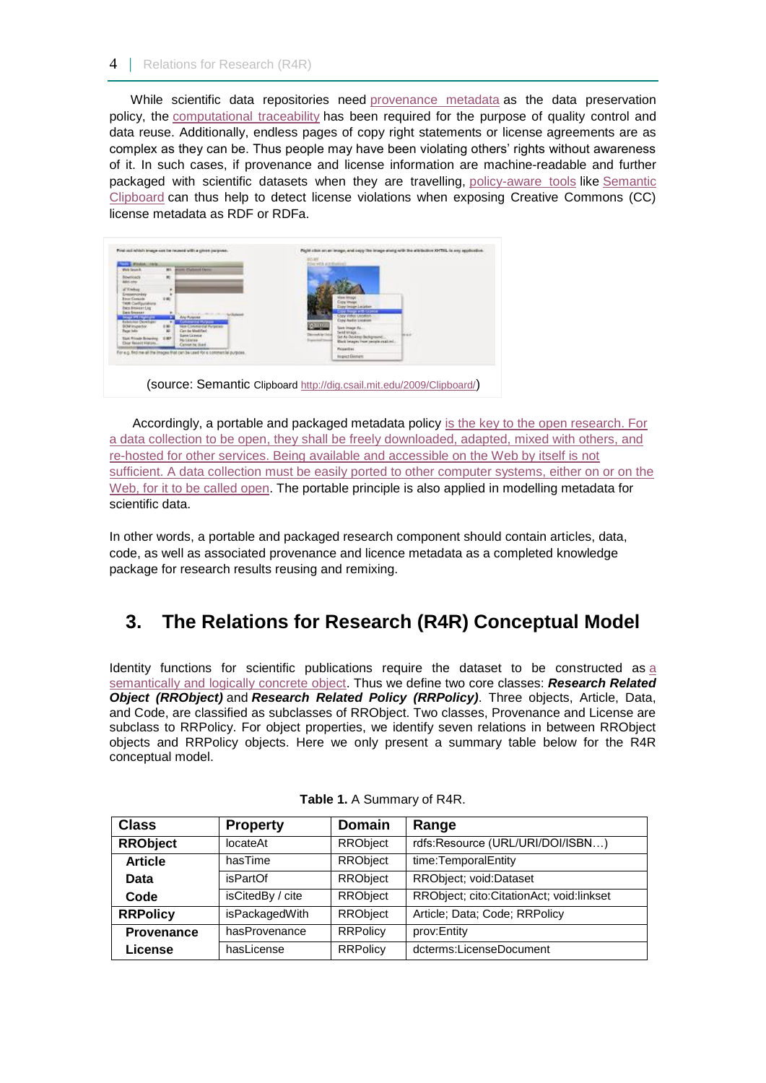While scientific data repositories need [provenance metadata](http://ils.unc.edu/bmh/pubs/ScientificDataRepositories-JASIST-2010.pdf) as the data preservation policy, the [computational traceability](http://opus.bath.ac.uk/34849/1/107_396_1_PB.pdf) has been required for the purpose of quality control and data reuse. Additionally, endless pages of copy right statements or license agreements are as complex as they can be. Thus people may have been violating others' rights without awareness of it. In such cases, if provenance and license information are machine-readable and further packaged with scientific datasets when they are travelling, [policy-aware tools](http://dig.csail.mit.edu/2009/Papers/ISWC/policy-aware-reuse/cc.pdf) like Semantic [Clipboard](http://dig.csail.mit.edu/2009/Papers/ISWC/policy-aware-reuse/cc.pdf) can thus help to detect license violations when exposing Creative Commons (CC) license metadata as RDF or RDFa.



(source: Semantic Clipboard <http://dig.csail.mit.edu/2009/Clipboard/>)

Accordingly, [a portable and packaged metadata policy](http://www.w3.org/2013/04/odw/odw13_submission_44.pdf) [is the key to the open research. For](http://www.w3.org/2013/04/odw/odw13_submission_44.pdf)  [a data collection to be open, they shall be freely downloaded, adapted, mixed with others, and](http://www.w3.org/2013/04/odw/odw13_submission_44.pdf)  [re-hosted for other services. Being available and accessible on the Web by itself is not](http://www.w3.org/2013/04/odw/odw13_submission_44.pdf)  [sufficient. A data collection must be easily ported to other computer systems, either on or on the](http://www.w3.org/2013/04/odw/odw13_submission_44.pdf)  [Web, for it to be called open.](http://www.w3.org/2013/04/odw/odw13_submission_44.pdf) The portable principle is also applied in modelling metadata for [scientific](http://opus.bath.ac.uk/34849/1/107_396_1_PB.pdf) data.

In other words, a portable and packaged research component should contain articles, data, code, as well as associated provenance and licence metadata as a completed knowledge package for research results reusing and remixing.

# **3. The Relations for Research (R4R) Conceptual Model**

Identity functions for scientific publications require the dataset to be constructed as [a](http://www.ijdc.net/index.php/ijdc/article/viewFile/174/242)  [semantically and logically concrete object.](http://www.ijdc.net/index.php/ijdc/article/viewFile/174/242) Thus we define two core classes: *Research Related Object (RRObject)* and *Research Related Policy (RRPolicy)*. Three objects, Article, Data, and Code, are classified as subclasses of RRObject. Two classes, Provenance and License are subclass to RRPolicy. For object properties, we identify seven relations in between RRObject objects and RRPolicy objects. Here we only present a summary table below for the R4R conceptual model.

| <b>Class</b>    | <b>Property</b>  | <b>Domain</b>   | Range                                       |
|-----------------|------------------|-----------------|---------------------------------------------|
| <b>RRObject</b> | locateAt         | RRObject        | rdfs:Resource (URL/URI/DOI/ISBN)            |
| <b>Article</b>  | hasTime          | <b>RRObject</b> | time:TemporalEntity                         |
| Data            | isPartOf         | <b>RRObject</b> | RRObject; void:Dataset                      |
| Code            | isCitedBy / cite | RRObject        | RRObject; cito: Citation Act; void: linkset |
| <b>RRPolicy</b> | isPackagedWith   | <b>RRObject</b> | Article; Data; Code; RRPolicy               |
| Provenance      | hasProvenance    | <b>RRPolicy</b> | prov:Entity                                 |
| <b>License</b>  | hasLicense       | <b>RRPolicy</b> | dcterms:LicenseDocument                     |

**Table 1.** A Summary of R4R.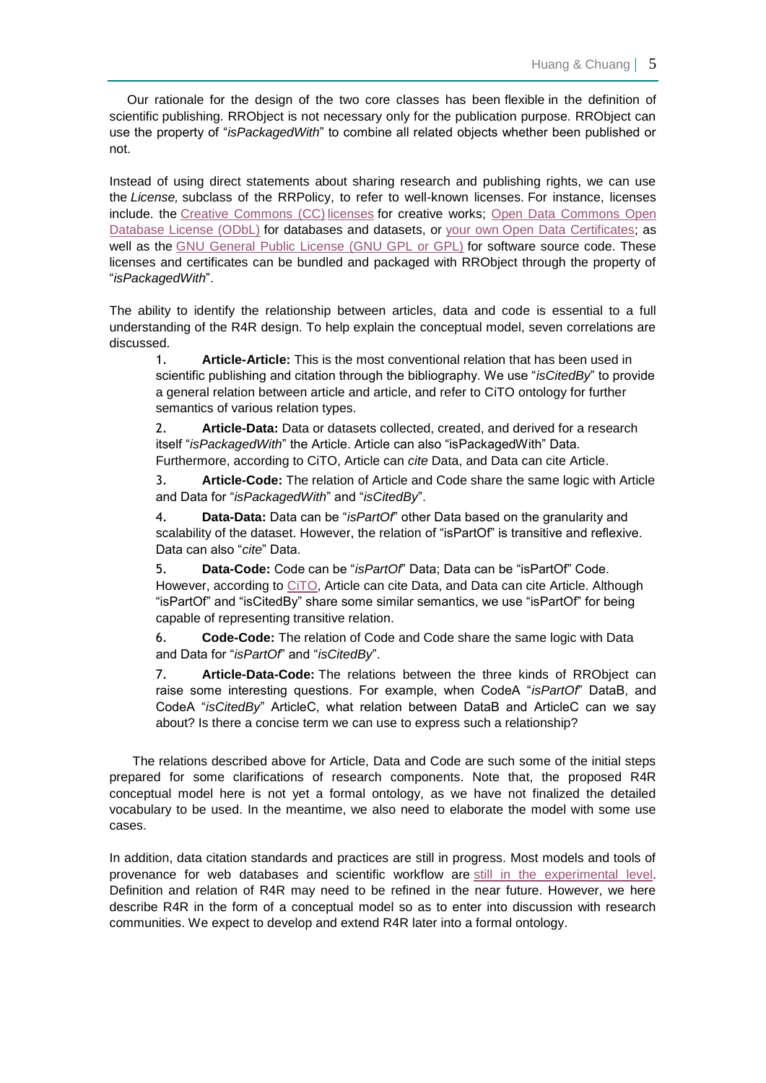Our rationale for the design of the two core classes has been flexible in the definition of scientific publishing. RRObject is not necessary only for the publication purpose. RRObject can use the property of "*isPackagedWith*" to combine all related objects whether been published or not.

Instead of using direct statements about sharing research and publishing rights, we can use the *License,* subclass of the RRPolicy, to refer to well-known licenses. For instance, licenses include. the [Creative Commons \(CC\)](http://creativecommons.org/licenses/) licenses for creative works; [Open Data Commons Open](http://opendatacommons.org/licenses/odbl/1.0/)  [Database License \(ODbL\)](http://opendatacommons.org/licenses/odbl/1.0/) for databases and datasets, or [your own](https://certificates.theodi.org/) [Open Data Certificates;](https://certificates.theodi.org/) as well as the [GNU General Public License \(GNU GPL or GPL\)](http://www.gnu.org/licenses/gpl.html) for software source code. These licenses and certificates can be bundled and packaged with RRObject through the property of "*isPackagedWith*".

The ability to identify the relationship between articles, data and code is essential to a full understanding of the R4R design. To help explain the conceptual model, seven correlations are discussed.

1. **Article-Article:** This is the most conventional relation that has been used in scientific publishing and citation through the bibliography. We use "*isCitedBy*" to provide a general relation between article and article, and refer to CiTO ontology for further semantics of various relation types.

2. **Article-Data:** Data or datasets collected, created, and derived for a research itself "*isPackagedWith*" the Article. Article can also "isPackagedWith" Data. Furthermore, according to CiTO, Article can *cite* Data, and Data can cite Article.

3. **Article-Code:** The relation of Article and Code share the same logic with Article and Data for "*isPackagedWith*" and "*isCitedBy*".

4. **Data-Data:** Data can be "*isPartOf*" other Data based on the granularity and scalability of the dataset. However, the relation of "isPartOf" is transitive and reflexive. Data can also "*cite*" Data.

5. **Data-Code:** Code can be "*isPartOf*" Data; Data can be "isPartOf" Code. However, according to [CiTO,](http://purl.org/spar/cito) Article can cite Data, and Data can cite Article. Although "isPartOf" and "isCitedBy" share some similar semantics, we use "isPartOf" for being capable of representing transitive relation.

6. **Code-Code:** The relation of Code and Code share the same logic with Data and Data for "*isPartOf*" and "*isCitedBy*".

7. **Article-Data-Code:** The relations between the three kinds of RRObject can raise some interesting questions. For example, when CodeA "*isPartOf*" DataB, and CodeA "*isCitedBy*" ArticleC, what relation between DataB and ArticleC can we say about? Is there a concise term we can use to express such a relationship?

The relations described above for Article, Data and Code are such some of the initial steps prepared for some clarifications of research components. Note that, the proposed R4R conceptual model here is not yet a formal ontology, as we have not finalized the detailed vocabulary to be used. In the meantime, we also need to elaborate the model with some use cases.

In addition, data citation standards and practices are still in progress. Most models and tools of provenance for web databases and scientific workflow are [still in the experimental level.](https://www.jstage.jst.go.jp/article/dsj/12/0/12_OSOM13-043/_pdf) Definition and relation of R4R may need to be refined in the near future. However, we here describe R4R in the form of a conceptual model so as to enter into discussion with research communities. We expect to develop and extend R4R later into a formal ontology.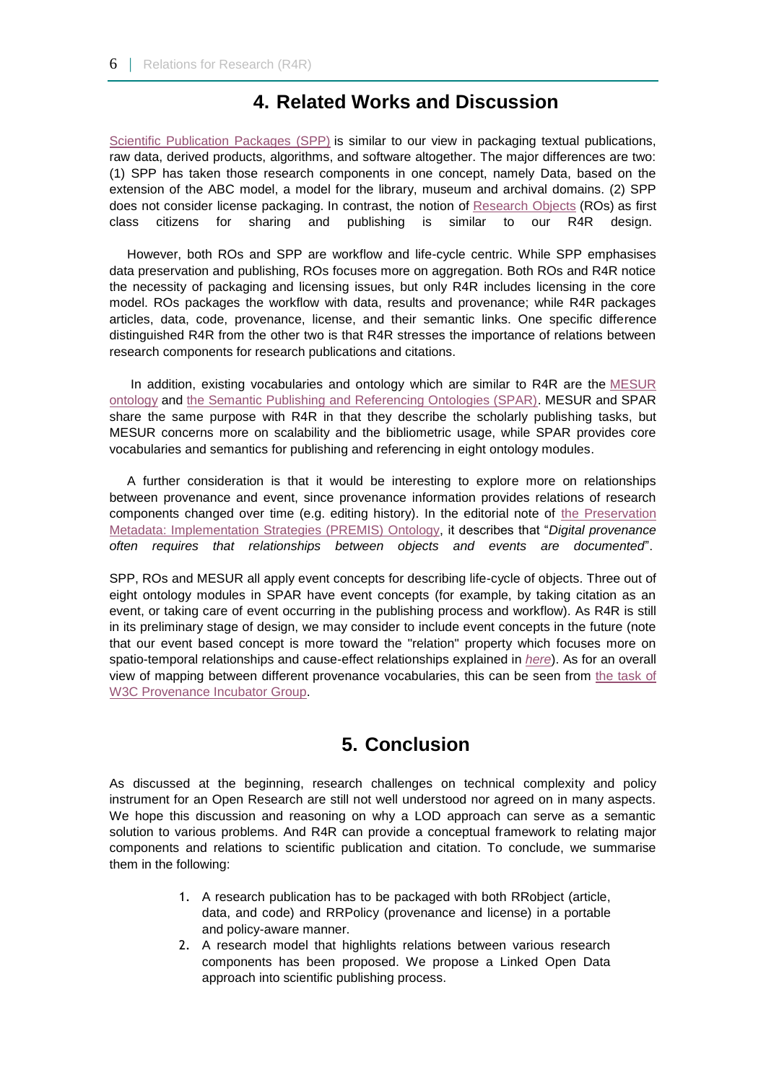### **4. Related Works and Discussion**

[Scientific Publication Packages \(SPP\)](http://ijdc.net/index.php/ijdc/article/download/8/4) is similar to our view in packaging textual publications, raw data, derived products, algorithms, and software altogether. The major differences are two: (1) SPP has taken those research components in one concept, namely Data, based on the extension of the ABC model, a model for the library, museum and archival domains. (2) SPP does not consider license packaging. In contrast, the notion of [Research Objects](http://eprints.ecs.soton.ac.uk/21587/5/research-objects-final.pdf) (ROs) as first class citizens for sharing and publishing is similar to our R4R design.

 However, both ROs and SPP are workflow and life-cycle centric. While SPP emphasises data preservation and publishing, ROs focuses more on aggregation. Both ROs and R4R notice the necessity of packaging and licensing issues, but only R4R includes licensing in the core model. ROs packages the workflow with data, results and provenance; while R4R packages articles, data, code, provenance, license, and their semantic links. One specific difference distinguished R4R from the other two is that R4R stresses the importance of relations between research components for research publications and citations.

 In addition, existing vocabularies and ontology which are similar to R4R are the [MESUR](http://arxiv.org/pdf/0708.1150)  [ontology](http://arxiv.org/pdf/0708.1150) and [the Semantic Publishing and Referencing Ontologies \(SPAR\).](http://sempublishing.sourceforge.net/) MESUR and SPAR share the same purpose with R4R in that they describe the scholarly publishing tasks, but MESUR concerns more on scalability and the bibliometric usage, while SPAR provides core vocabularies and semantics for publishing and referencing in eight ontology modules.

 A further consideration is that it would be interesting to explore more on relationships between provenance and event, since provenance information provides relations of research components changed over time (e.g. editing history). In the editorial note of [the Preservation](http://id.loc.gov/ontologies/premis.html)  [Metadata: Implementation Strategies \(PREMIS\) Ontology,](http://id.loc.gov/ontologies/premis.html) it describes that "*Digital provenance often requires that relationships between objects and events are documented*".

SPP, ROs and MESUR all apply event concepts for describing life-cycle of objects. Three out of eight ontology modules in SPAR have event concepts (for example, by taking citation as an event, or taking care of event occurring in the publishing process and workflow). As R4R is still in its preliminary stage of design, we may consider to include event concepts in the future (note that our event based concept is more toward the "relation" property which focuses more on spatio-temporal relationships and cause-effect relationships explained in *[here](http://www.slideshare.net/andreasinica/20101203-an-event-ontology-for-disaster-informationhuang-and-chuang)*). As for an overall view of mapping between different provenance vocabularies, this can be seen from [the task of](http://www.w3.org/2005/Incubator/prov/wiki/Provenance_Vocabulary_Mappings#Provenir_ontology_to_OPM_Mapping_Rationale)  [W3C Provenance Incubator Group.](http://www.w3.org/2005/Incubator/prov/wiki/Provenance_Vocabulary_Mappings#Provenir_ontology_to_OPM_Mapping_Rationale)

## **5. Conclusion**

As discussed at the beginning, research challenges on technical complexity and policy instrument for an Open Research are still not well understood nor agreed on in many aspects. We hope this discussion and reasoning on why a LOD approach can serve as a semantic solution to various problems. And R4R can provide a conceptual framework to relating major components and relations to scientific publication and citation. To conclude, we summarise them in the following:

- 1. A research publication has to be packaged with both RRobject (article, data, and code) and RRPolicy (provenance and license) in a portable and policy-aware manner.
- 2. A research model that highlights relations between various research components has been proposed. We propose a Linked Open Data approach into scientific publishing process.